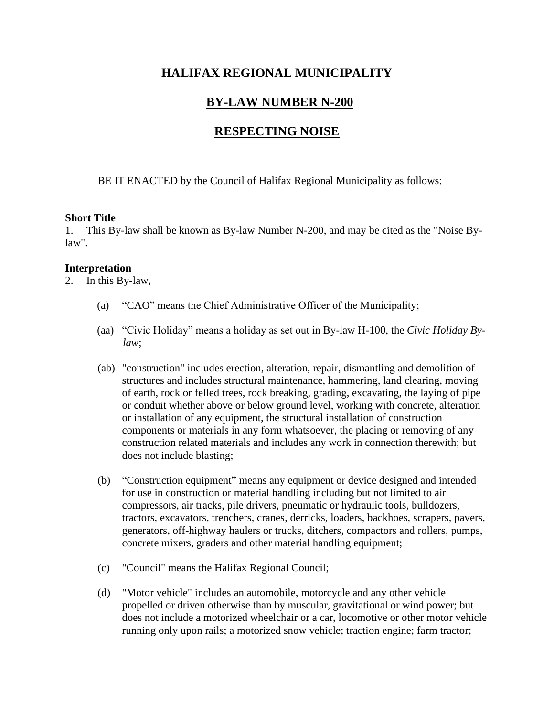# **HALIFAX REGIONAL MUNICIPALITY**

# **BY-LAW NUMBER N-200**

# **RESPECTING NOISE**

BE IT ENACTED by the Council of Halifax Regional Municipality as follows:

### **Short Title**

1. This By-law shall be known as By-law Number N-200, and may be cited as the "Noise Bylaw".

### **Interpretation**

2. In this By-law,

- (a) "CAO" means the Chief Administrative Officer of the Municipality;
- (aa) "Civic Holiday" means a holiday as set out in By-law H-100, the *Civic Holiday Bylaw*;
- (ab) "construction" includes erection, alteration, repair, dismantling and demolition of structures and includes structural maintenance, hammering, land clearing, moving of earth, rock or felled trees, rock breaking, grading, excavating, the laying of pipe or conduit whether above or below ground level, working with concrete, alteration or installation of any equipment, the structural installation of construction components or materials in any form whatsoever, the placing or removing of any construction related materials and includes any work in connection therewith; but does not include blasting;
- (b) "Construction equipment" means any equipment or device designed and intended for use in construction or material handling including but not limited to air compressors, air tracks, pile drivers, pneumatic or hydraulic tools, bulldozers, tractors, excavators, trenchers, cranes, derricks, loaders, backhoes, scrapers, pavers, generators, off-highway haulers or trucks, ditchers, compactors and rollers, pumps, concrete mixers, graders and other material handling equipment;
- (c) "Council" means the Halifax Regional Council;
- (d) "Motor vehicle" includes an automobile, motorcycle and any other vehicle propelled or driven otherwise than by muscular, gravitational or wind power; but does not include a motorized wheelchair or a car, locomotive or other motor vehicle running only upon rails; a motorized snow vehicle; traction engine; farm tractor;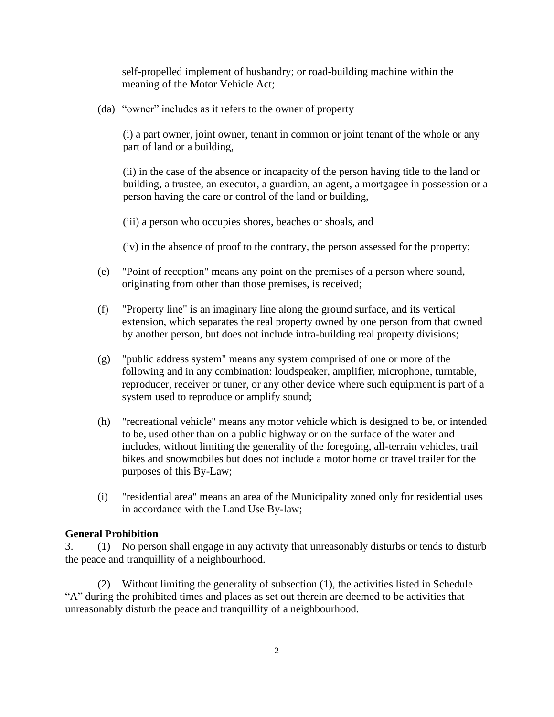self-propelled implement of husbandry; or road-building machine within the meaning of the Motor Vehicle Act;

(da) "owner" includes as it refers to the owner of property

(i) a part owner, joint owner, tenant in common or joint tenant of the whole or any part of land or a building,

(ii) in the case of the absence or incapacity of the person having title to the land or building, a trustee, an executor, a guardian, an agent, a mortgagee in possession or a person having the care or control of the land or building,

(iii) a person who occupies shores, beaches or shoals, and

(iv) in the absence of proof to the contrary, the person assessed for the property;

- (e) "Point of reception" means any point on the premises of a person where sound, originating from other than those premises, is received;
- (f) "Property line" is an imaginary line along the ground surface, and its vertical extension, which separates the real property owned by one person from that owned by another person, but does not include intra-building real property divisions;
- (g) "public address system" means any system comprised of one or more of the following and in any combination: loudspeaker, amplifier, microphone, turntable, reproducer, receiver or tuner, or any other device where such equipment is part of a system used to reproduce or amplify sound;
- (h) "recreational vehicle" means any motor vehicle which is designed to be, or intended to be, used other than on a public highway or on the surface of the water and includes, without limiting the generality of the foregoing, all-terrain vehicles, trail bikes and snowmobiles but does not include a motor home or travel trailer for the purposes of this By-Law;
- (i) "residential area" means an area of the Municipality zoned only for residential uses in accordance with the Land Use By-law;

#### **General Prohibition**

3. (1) No person shall engage in any activity that unreasonably disturbs or tends to disturb the peace and tranquillity of a neighbourhood.

(2) Without limiting the generality of subsection (1), the activities listed in Schedule "A" during the prohibited times and places as set out therein are deemed to be activities that unreasonably disturb the peace and tranquillity of a neighbourhood.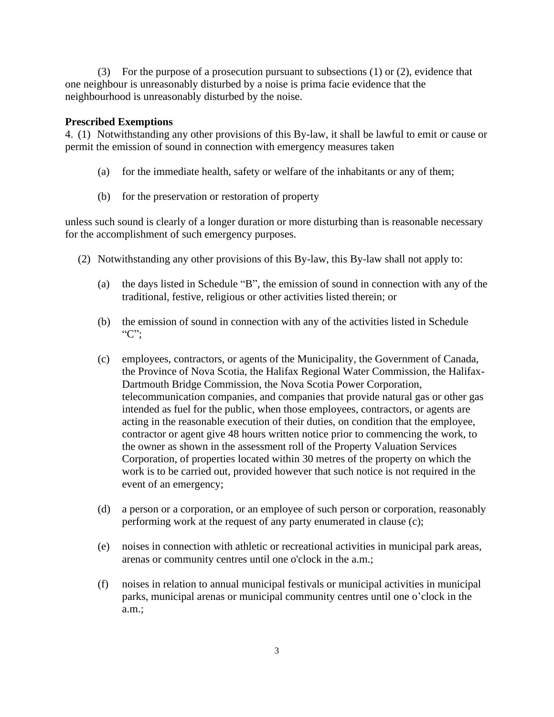(3) For the purpose of a prosecution pursuant to subsections (1) or (2), evidence that one neighbour is unreasonably disturbed by a noise is prima facie evidence that the neighbourhood is unreasonably disturbed by the noise.

### **Prescribed Exemptions**

4. (1) Notwithstanding any other provisions of this By-law, it shall be lawful to emit or cause or permit the emission of sound in connection with emergency measures taken

- (a) for the immediate health, safety or welfare of the inhabitants or any of them;
- (b) for the preservation or restoration of property

unless such sound is clearly of a longer duration or more disturbing than is reasonable necessary for the accomplishment of such emergency purposes.

- (2) Notwithstanding any other provisions of this By-law, this By-law shall not apply to:
	- (a) the days listed in Schedule "B", the emission of sound in connection with any of the traditional, festive, religious or other activities listed therein; or
	- (b) the emission of sound in connection with any of the activities listed in Schedule "C";
	- (c) employees, contractors, or agents of the Municipality, the Government of Canada, the Province of Nova Scotia, the Halifax Regional Water Commission, the Halifax-Dartmouth Bridge Commission, the Nova Scotia Power Corporation, telecommunication companies, and companies that provide natural gas or other gas intended as fuel for the public, when those employees, contractors, or agents are acting in the reasonable execution of their duties, on condition that the employee, contractor or agent give 48 hours written notice prior to commencing the work, to the owner as shown in the assessment roll of the Property Valuation Services Corporation, of properties located within 30 metres of the property on which the work is to be carried out, provided however that such notice is not required in the event of an emergency;
	- (d) a person or a corporation, or an employee of such person or corporation, reasonably performing work at the request of any party enumerated in clause (c);
	- (e) noises in connection with athletic or recreational activities in municipal park areas, arenas or community centres until one o'clock in the a.m.;
	- (f) noises in relation to annual municipal festivals or municipal activities in municipal parks, municipal arenas or municipal community centres until one o'clock in the a.m.;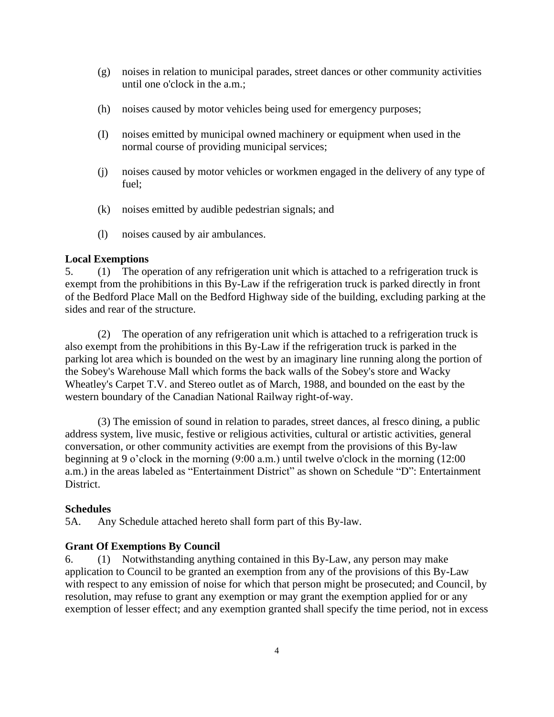- (g) noises in relation to municipal parades, street dances or other community activities until one o'clock in the a.m.;
- (h) noises caused by motor vehicles being used for emergency purposes;
- (I) noises emitted by municipal owned machinery or equipment when used in the normal course of providing municipal services;
- (j) noises caused by motor vehicles or workmen engaged in the delivery of any type of fuel;
- (k) noises emitted by audible pedestrian signals; and
- (l) noises caused by air ambulances.

#### **Local Exemptions**

5. (1) The operation of any refrigeration unit which is attached to a refrigeration truck is exempt from the prohibitions in this By-Law if the refrigeration truck is parked directly in front of the Bedford Place Mall on the Bedford Highway side of the building, excluding parking at the sides and rear of the structure.

(2) The operation of any refrigeration unit which is attached to a refrigeration truck is also exempt from the prohibitions in this By-Law if the refrigeration truck is parked in the parking lot area which is bounded on the west by an imaginary line running along the portion of the Sobey's Warehouse Mall which forms the back walls of the Sobey's store and Wacky Wheatley's Carpet T.V. and Stereo outlet as of March, 1988, and bounded on the east by the western boundary of the Canadian National Railway right-of-way.

(3) The emission of sound in relation to parades, street dances, al fresco dining, a public address system, live music, festive or religious activities, cultural or artistic activities, general conversation, or other community activities are exempt from the provisions of this By-law beginning at 9 o'clock in the morning (9:00 a.m.) until twelve o'clock in the morning (12:00 a.m.) in the areas labeled as "Entertainment District" as shown on Schedule "D": Entertainment District.

#### **Schedules**

5A. Any Schedule attached hereto shall form part of this By-law.

#### **Grant Of Exemptions By Council**

6. (1) Notwithstanding anything contained in this By-Law, any person may make application to Council to be granted an exemption from any of the provisions of this By-Law with respect to any emission of noise for which that person might be prosecuted; and Council, by resolution, may refuse to grant any exemption or may grant the exemption applied for or any exemption of lesser effect; and any exemption granted shall specify the time period, not in excess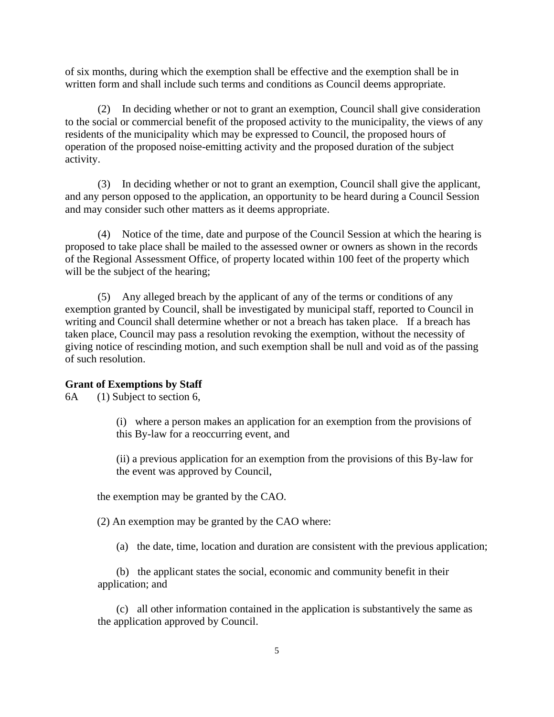of six months, during which the exemption shall be effective and the exemption shall be in written form and shall include such terms and conditions as Council deems appropriate.

(2) In deciding whether or not to grant an exemption, Council shall give consideration to the social or commercial benefit of the proposed activity to the municipality, the views of any residents of the municipality which may be expressed to Council, the proposed hours of operation of the proposed noise-emitting activity and the proposed duration of the subject activity.

(3) In deciding whether or not to grant an exemption, Council shall give the applicant, and any person opposed to the application, an opportunity to be heard during a Council Session and may consider such other matters as it deems appropriate.

(4) Notice of the time, date and purpose of the Council Session at which the hearing is proposed to take place shall be mailed to the assessed owner or owners as shown in the records of the Regional Assessment Office, of property located within 100 feet of the property which will be the subject of the hearing;

(5) Any alleged breach by the applicant of any of the terms or conditions of any exemption granted by Council, shall be investigated by municipal staff, reported to Council in writing and Council shall determine whether or not a breach has taken place. If a breach has taken place, Council may pass a resolution revoking the exemption, without the necessity of giving notice of rescinding motion, and such exemption shall be null and void as of the passing of such resolution.

#### **Grant of Exemptions by Staff**

6A (1) Subject to section 6,

(i) where a person makes an application for an exemption from the provisions of this By-law for a reoccurring event, and

(ii) a previous application for an exemption from the provisions of this By-law for the event was approved by Council,

the exemption may be granted by the CAO.

(2) An exemption may be granted by the CAO where:

(a) the date, time, location and duration are consistent with the previous application;

(b) the applicant states the social, economic and community benefit in their application; and

(c) all other information contained in the application is substantively the same as the application approved by Council.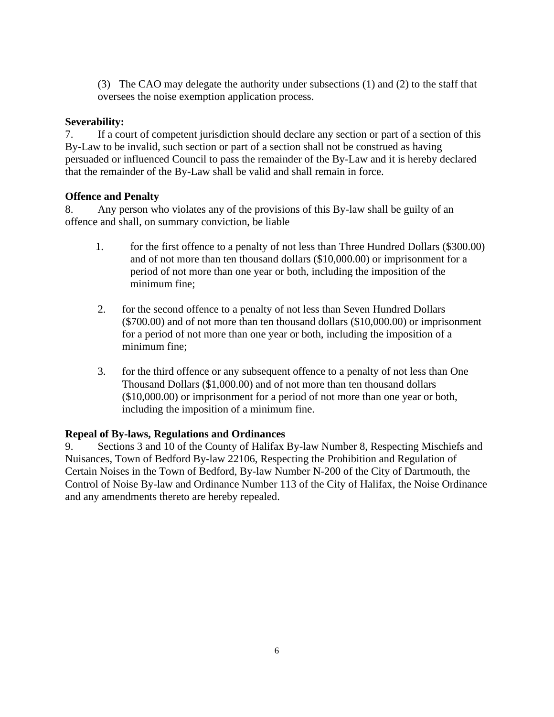(3) The CAO may delegate the authority under subsections (1) and (2) to the staff that oversees the noise exemption application process.

### **Severability:**

7. If a court of competent jurisdiction should declare any section or part of a section of this By-Law to be invalid, such section or part of a section shall not be construed as having persuaded or influenced Council to pass the remainder of the By-Law and it is hereby declared that the remainder of the By-Law shall be valid and shall remain in force.

### **Offence and Penalty**

8. Any person who violates any of the provisions of this By-law shall be guilty of an offence and shall, on summary conviction, be liable

- 1. for the first offence to a penalty of not less than Three Hundred Dollars (\$300.00) and of not more than ten thousand dollars (\$10,000.00) or imprisonment for a period of not more than one year or both, including the imposition of the minimum fine;
- 2. for the second offence to a penalty of not less than Seven Hundred Dollars (\$700.00) and of not more than ten thousand dollars (\$10,000.00) or imprisonment for a period of not more than one year or both, including the imposition of a minimum fine;
- 3. for the third offence or any subsequent offence to a penalty of not less than One Thousand Dollars (\$1,000.00) and of not more than ten thousand dollars (\$10,000.00) or imprisonment for a period of not more than one year or both, including the imposition of a minimum fine.

### **Repeal of By-laws, Regulations and Ordinances**

9. Sections 3 and 10 of the County of Halifax By-law Number 8, Respecting Mischiefs and Nuisances, Town of Bedford By-law 22106, Respecting the Prohibition and Regulation of Certain Noises in the Town of Bedford, By-law Number N-200 of the City of Dartmouth, the Control of Noise By-law and Ordinance Number 113 of the City of Halifax, the Noise Ordinance and any amendments thereto are hereby repealed.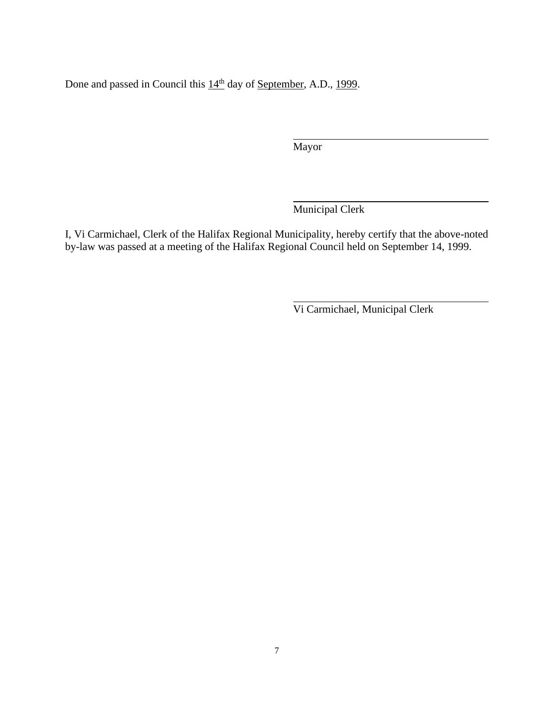Done and passed in Council this  $14<sup>th</sup>$  day of <u>September</u>, A.D., 1999.

Mayor

 $\overline{a}$ 

 $\overline{a}$ 

l

Municipal Clerk

I, Vi Carmichael, Clerk of the Halifax Regional Municipality, hereby certify that the above-noted by-law was passed at a meeting of the Halifax Regional Council held on September 14, 1999.

Vi Carmichael, Municipal Clerk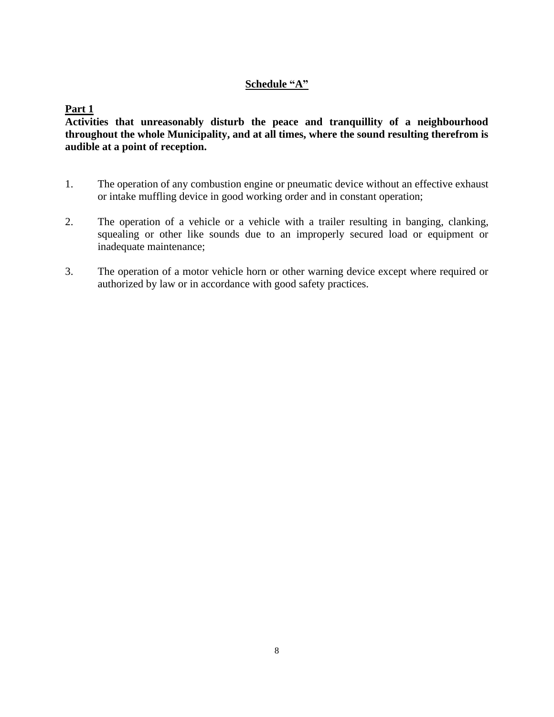### **Schedule "A"**

**Part 1**

**Activities that unreasonably disturb the peace and tranquillity of a neighbourhood throughout the whole Municipality, and at all times, where the sound resulting therefrom is audible at a point of reception.**

- 1. The operation of any combustion engine or pneumatic device without an effective exhaust or intake muffling device in good working order and in constant operation;
- 2. The operation of a vehicle or a vehicle with a trailer resulting in banging, clanking, squealing or other like sounds due to an improperly secured load or equipment or inadequate maintenance;
- 3. The operation of a motor vehicle horn or other warning device except where required or authorized by law or in accordance with good safety practices.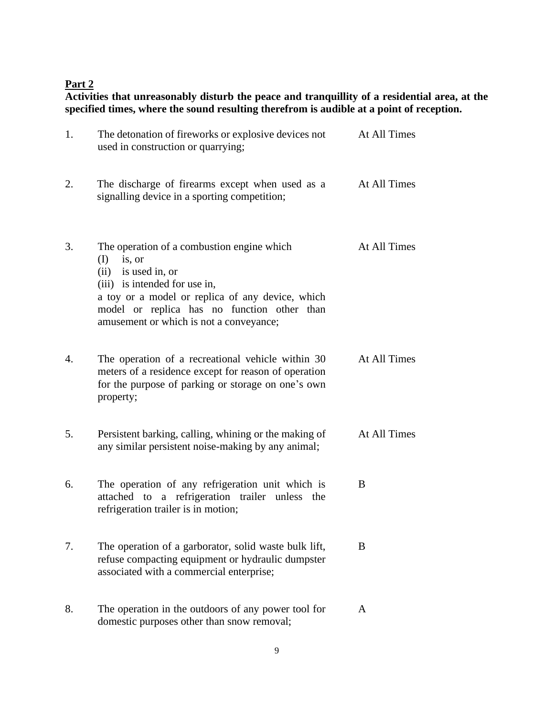# **Part 2**

**Activities that unreasonably disturb the peace and tranquillity of a residential area, at the specified times, where the sound resulting therefrom is audible at a point of reception.**

| 1. | The detonation of fireworks or explosive devices not<br>used in construction or quarrying;                                                                                                                                                                          | At All Times |
|----|---------------------------------------------------------------------------------------------------------------------------------------------------------------------------------------------------------------------------------------------------------------------|--------------|
| 2. | The discharge of firearms except when used as a<br>signalling device in a sporting competition;                                                                                                                                                                     | At All Times |
| 3. | The operation of a combustion engine which<br>is, or<br>(I)<br>$(ii)$ is used in, or<br>(iii) is intended for use in,<br>a toy or a model or replica of any device, which<br>model or replica has no function other than<br>amusement or which is not a conveyance; | At All Times |
| 4. | The operation of a recreational vehicle within 30<br>meters of a residence except for reason of operation<br>for the purpose of parking or storage on one's own<br>property;                                                                                        | At All Times |
| 5. | Persistent barking, calling, whining or the making of<br>any similar persistent noise-making by any animal;                                                                                                                                                         | At All Times |
| 6. | The operation of any refrigeration unit which is<br>attached to a refrigeration trailer unless the<br>refrigeration trailer is in motion;                                                                                                                           | B            |
| 7. | The operation of a garborator, solid waste bulk lift,<br>refuse compacting equipment or hydraulic dumpster<br>associated with a commercial enterprise;                                                                                                              | B            |
| 8. | The operation in the outdoors of any power tool for<br>domestic purposes other than snow removal;                                                                                                                                                                   | A            |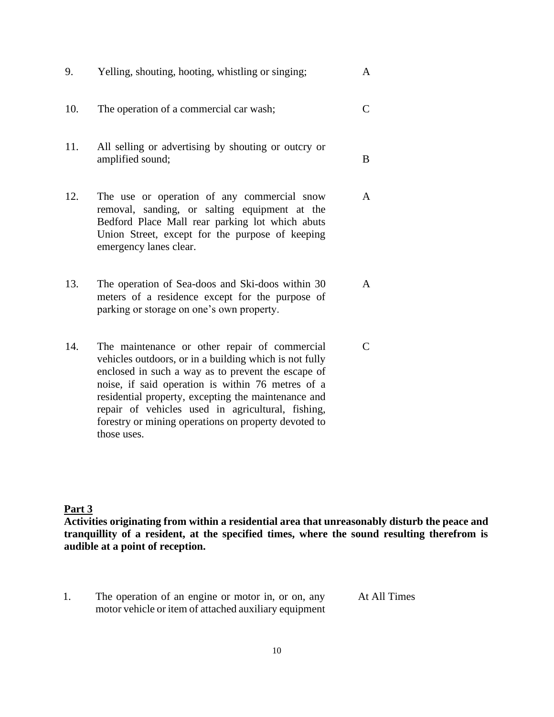| 9.  | Yelling, shouting, hooting, whistling or singing;                                                                                                                                                                                                                                                                                                                                                     | A              |
|-----|-------------------------------------------------------------------------------------------------------------------------------------------------------------------------------------------------------------------------------------------------------------------------------------------------------------------------------------------------------------------------------------------------------|----------------|
| 10. | The operation of a commercial car wash;                                                                                                                                                                                                                                                                                                                                                               | $\mathsf{C}$   |
| 11. | All selling or advertising by shouting or outcry or<br>amplified sound;                                                                                                                                                                                                                                                                                                                               | B              |
| 12. | The use or operation of any commercial snow<br>removal, sanding, or salting equipment at the<br>Bedford Place Mall rear parking lot which abuts<br>Union Street, except for the purpose of keeping<br>emergency lanes clear.                                                                                                                                                                          | $\mathsf{A}$   |
| 13. | The operation of Sea-doos and Ski-doos within 30<br>meters of a residence except for the purpose of<br>parking or storage on one's own property.                                                                                                                                                                                                                                                      | A              |
| 14. | The maintenance or other repair of commercial<br>vehicles outdoors, or in a building which is not fully<br>enclosed in such a way as to prevent the escape of<br>noise, if said operation is within 76 metres of a<br>residential property, excepting the maintenance and<br>repair of vehicles used in agricultural, fishing,<br>forestry or mining operations on property devoted to<br>those uses. | $\overline{C}$ |

## **Part 3**

**Activities originating from within a residential area that unreasonably disturb the peace and tranquillity of a resident, at the specified times, where the sound resulting therefrom is audible at a point of reception.**

1. The operation of an engine or motor in, or on, any motor vehicle or item of attached auxiliary equipment

At All Times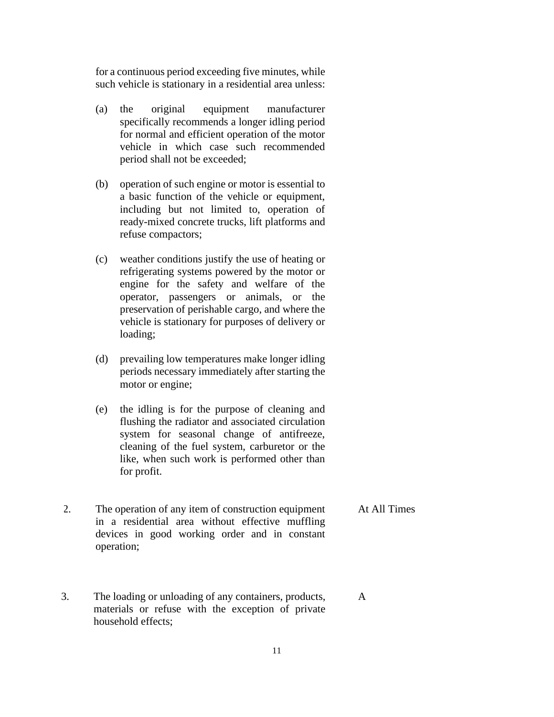for a continuous period exceeding five minutes, while such vehicle is stationary in a residential area unless:

- (a) the original equipment manufacturer specifically recommends a longer idling period for normal and efficient operation of the motor vehicle in which case such recommended period shall not be exceeded;
- (b) operation of such engine or motor is essential to a basic function of the vehicle or equipment, including but not limited to, operation of ready-mixed concrete trucks, lift platforms and refuse compactors;
- (c) weather conditions justify the use of heating or refrigerating systems powered by the motor or engine for the safety and welfare of the operator, passengers or animals, or the preservation of perishable cargo, and where the vehicle is stationary for purposes of delivery or loading;
- (d) prevailing low temperatures make longer idling periods necessary immediately after starting the motor or engine;
- (e) the idling is for the purpose of cleaning and flushing the radiator and associated circulation system for seasonal change of antifreeze, cleaning of the fuel system, carburetor or the like, when such work is performed other than for profit.
- 2. The operation of any item of construction equipment in a residential area without effective muffling devices in good working order and in constant operation; At All Times
- 3. The loading or unloading of any containers, products, materials or refuse with the exception of private household effects;

A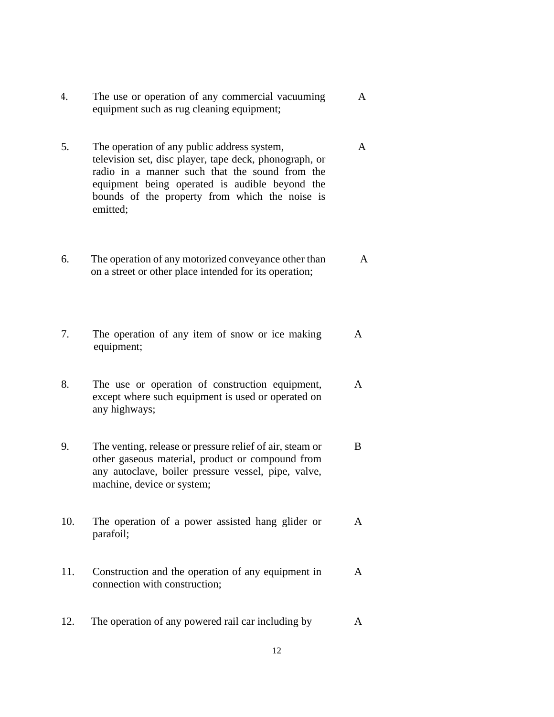4. The use or operation of any commercial vacuuming equipment such as rug cleaning equipment; A

A

- 5. The operation of any public address system, television set, disc player, tape deck, phonograph, or radio in a manner such that the sound from the equipment being operated is audible beyond the bounds of the property from which the noise is emitted;
- 6. The operation of any motorized conveyance other than on a street or other place intended for its operation; A
- 7. The operation of any item of snow or ice making equipment; A
- 8. The use or operation of construction equipment, except where such equipment is used or operated on any highways; A
- 9. The venting, release or pressure relief of air, steam or other gaseous material, product or compound from any autoclave, boiler pressure vessel, pipe, valve, machine, device or system; B
- 10. The operation of a power assisted hang glider or parafoil; A
- 11. Construction and the operation of any equipment in connection with construction; A
- 12. The operation of any powered rail car including by A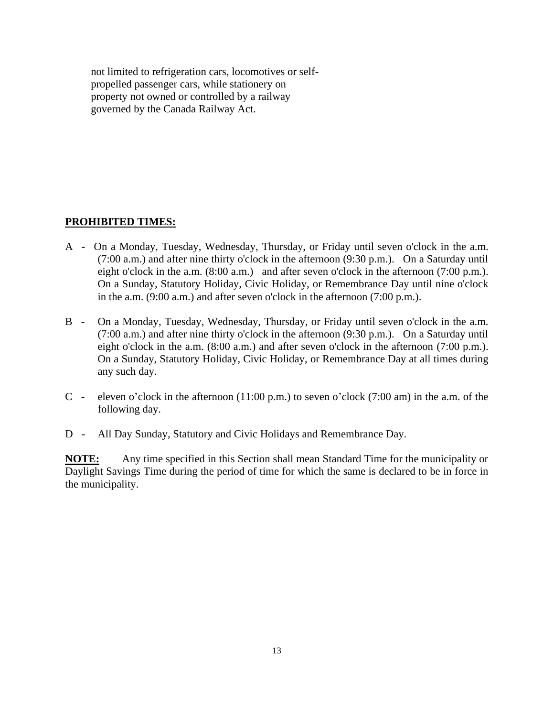not limited to refrigeration cars, locomotives or selfpropelled passenger cars, while stationery on property not owned or controlled by a railway governed by the Canada Railway Act.

#### **PROHIBITED TIMES:**

- A On a Monday, Tuesday, Wednesday, Thursday, or Friday until seven o'clock in the a.m. (7:00 a.m.) and after nine thirty o'clock in the afternoon (9:30 p.m.). On a Saturday until eight o'clock in the a.m. (8:00 a.m.) and after seven o'clock in the afternoon (7:00 p.m.). On a Sunday, Statutory Holiday, Civic Holiday, or Remembrance Day until nine o'clock in the a.m. (9:00 a.m.) and after seven o'clock in the afternoon (7:00 p.m.).
- B On a Monday, Tuesday, Wednesday, Thursday, or Friday until seven o'clock in the a.m. (7:00 a.m.) and after nine thirty o'clock in the afternoon (9:30 p.m.). On a Saturday until eight o'clock in the a.m. (8:00 a.m.) and after seven o'clock in the afternoon (7:00 p.m.). On a Sunday, Statutory Holiday, Civic Holiday, or Remembrance Day at all times during any such day.
- C eleven o'clock in the afternoon (11:00 p.m.) to seven o'clock (7:00 am) in the a.m. of the following day.
- D All Day Sunday, Statutory and Civic Holidays and Remembrance Day.

**NOTE:** Any time specified in this Section shall mean Standard Time for the municipality or Daylight Savings Time during the period of time for which the same is declared to be in force in the municipality.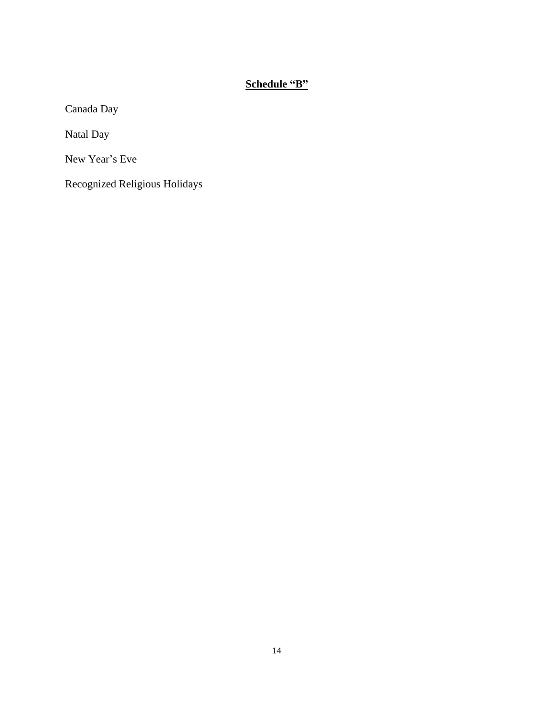# **Schedule "B"**

Canada Day

Natal Day

New Year's Eve

Recognized Religious Holidays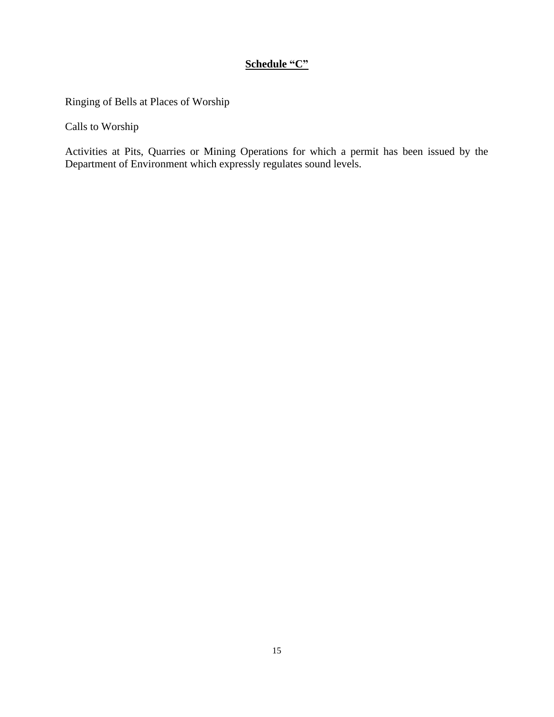## **Schedule "C"**

Ringing of Bells at Places of Worship

Calls to Worship

Activities at Pits, Quarries or Mining Operations for which a permit has been issued by the Department of Environment which expressly regulates sound levels.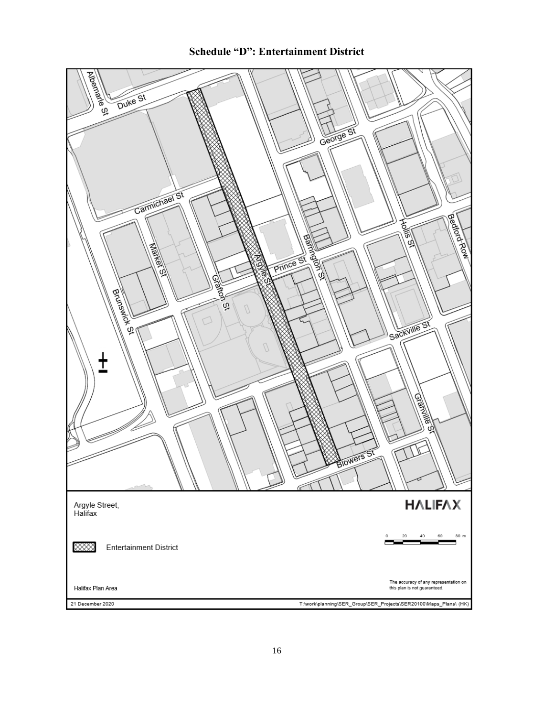

**Schedule "D": Entertainment District**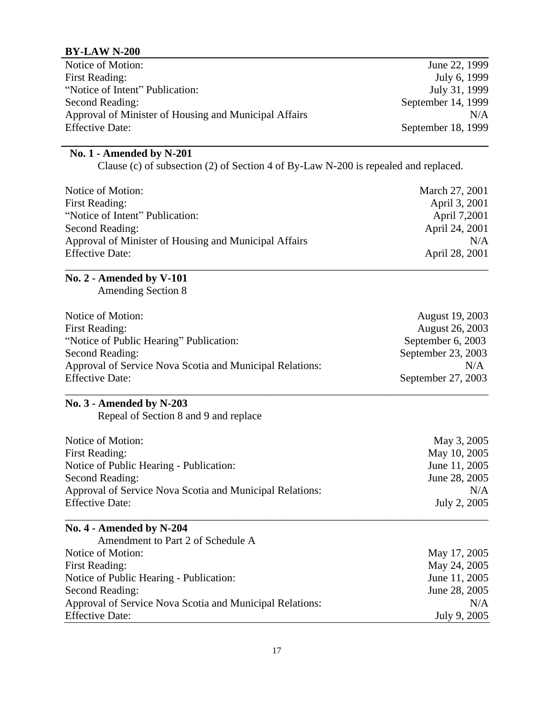## **BY-LAW N-200**

| Notice of Motion:                                     | June 22, 1999      |
|-------------------------------------------------------|--------------------|
| First Reading:                                        | July 6, 1999       |
| "Notice of Intent" Publication:                       | July 31, 1999      |
| Second Reading:                                       | September 14, 1999 |
| Approval of Minister of Housing and Municipal Affairs | N/A                |
| <b>Effective Date:</b>                                | September 18, 1999 |
|                                                       |                    |

### **No. 1 - Amended by N-201**

Clause (c) of subsection (2) of Section 4 of By-Law N-200 is repealed and replaced.

| Notice of Motion:                                     | March 27, 2001 |
|-------------------------------------------------------|----------------|
| First Reading:                                        | April 3, 2001  |
| "Notice of Intent" Publication:                       | April 7,2001   |
| Second Reading:                                       | April 24, 2001 |
| Approval of Minister of Housing and Municipal Affairs | N/A            |
| <b>Effective Date:</b>                                | April 28, 2001 |
|                                                       |                |

# **No. 2 - Amended by V-101**

Amending Section 8

| Notice of Motion:                                        | August 19, 2003    |
|----------------------------------------------------------|--------------------|
| First Reading:                                           | August 26, 2003    |
| "Notice of Public Hearing" Publication:                  | September 6, 2003  |
| Second Reading:                                          | September 23, 2003 |
| Approval of Service Nova Scotia and Municipal Relations: | N/A                |
| <b>Effective Date:</b>                                   | September 27, 2003 |

\_\_\_\_\_\_\_\_\_\_\_\_\_\_\_\_\_\_\_\_\_\_\_\_\_\_\_\_\_\_\_\_\_\_\_\_\_\_\_\_\_\_\_\_\_\_\_\_\_\_\_\_\_\_\_\_\_\_\_\_\_\_\_\_\_\_\_\_\_\_\_\_\_\_\_\_\_\_

## **No. 3 - Amended by N-203**

Repeal of Section 8 and 9 and replace

| Notice of Motion:                                        | May 3, 2005   |
|----------------------------------------------------------|---------------|
| <b>First Reading:</b>                                    | May 10, 2005  |
| Notice of Public Hearing - Publication:                  | June 11, 2005 |
| Second Reading:                                          | June 28, 2005 |
| Approval of Service Nova Scotia and Municipal Relations: | N/A           |
| <b>Effective Date:</b>                                   | July 2, 2005  |
|                                                          |               |

# **No. 4 - Amended by N-204**

| Amendment to Part 2 of Schedule A                        |               |
|----------------------------------------------------------|---------------|
| Notice of Motion:                                        | May 17, 2005  |
| First Reading:                                           | May 24, 2005  |
| Notice of Public Hearing - Publication:                  | June 11, 2005 |
| Second Reading:                                          | June 28, 2005 |
| Approval of Service Nova Scotia and Municipal Relations: | N/A           |
| <b>Effective Date:</b>                                   | July 9, 2005  |